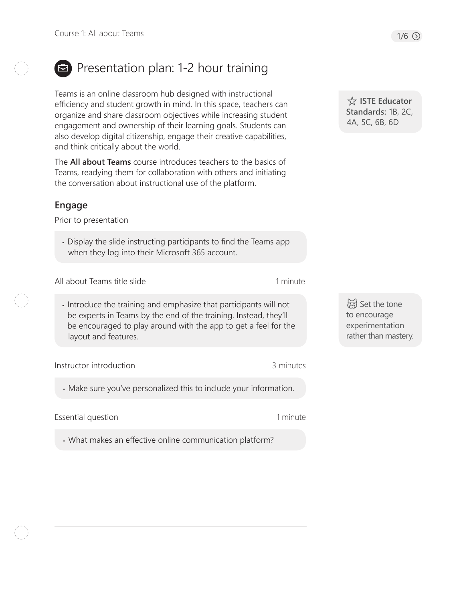

# Presentation plan: 1-2 hour training

Teams is an online classroom hub designed with instructional efficiency and student growth in mind. In this space, teachers can organize and share classroom objectives while increasing student engagement and ownership of their learning goals. Students can also develop digital citizenship, engage their creative capabilities, and think critically about the world.

The **All about Teams** course introduces teachers to the basics of Teams, readying them for collaboration with others and initiating the conversation about instructional use of the platform.

#### **Engage**

Prior to presentation

• Display the slide instructing participants to find the Teams app when they log into their Microsoft 365 account.

All about Teams title slide

• Introduce the training and emphasize that participants will not be experts in Teams by the end of the training. Instead, they'll be encouraged to play around with the app to get a feel for the layout and features.

Instructor introduction

3 minutes

1 minute

1 minute

• Make sure you've personalized this to include your information.

Essential question

• What makes an effective online communication platform?

 **ISTE Educator Standards:** 1B, 2C, 4A, 5C, 6B, 6D

d Set the tone to encourage experimentation rather than mastery.

 $1/6$   $\odot$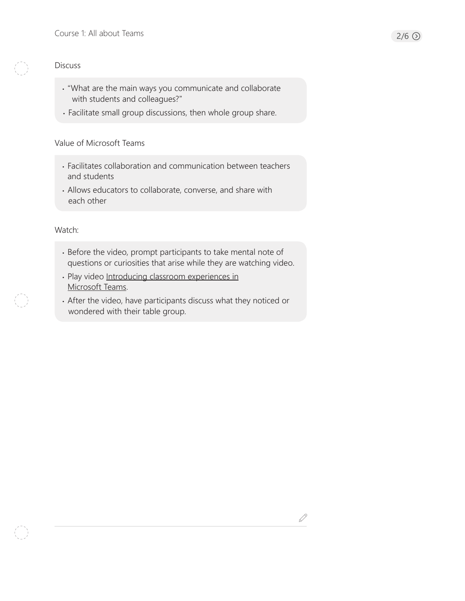#### **Discuss**

- "What are the main ways you communicate and collaborate with students and colleagues?"
- Facilitate small group discussions, then whole group share.

#### Value of Microsoft Teams

- Facilitates collaboration and communication between teachers and students
- Allows educators to collaborate, converse, and share with each other

#### Watch:

- Before the video, prompt participants to take mental note of questions or curiosities that arise while they are watching video.
- Play video [Introducing classroom experiences in](https://youtu.be/N7uiMs4dPcg) [Microsoft Teams](https://youtu.be/N7uiMs4dPcg).
- After the video, have participants discuss what they noticed or wondered with their table group.

 $\mathscr{Q}$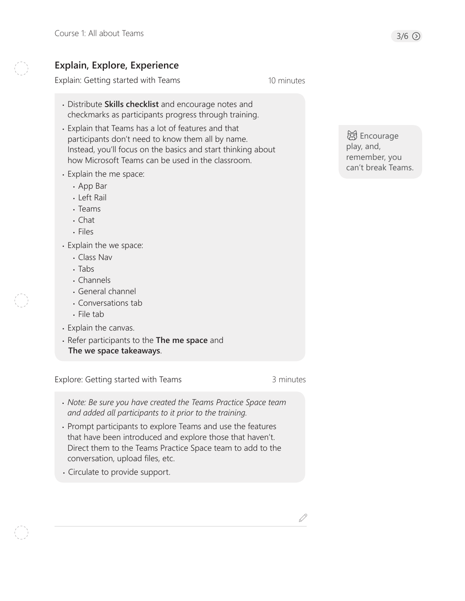## **Explain, Explore, Experience**

Explain: Getting started with Teams 10 minutes

- Distribute **Skills checklist** and encourage notes and checkmarks as participants progress through training.
- Explain that Teams has a lot of features and that participants don't need to know them all by name. Instead, you'll focus on the basics and start thinking about how Microsoft Teams can be used in the classroom.
- Explain the me space:
	- App Bar
	- Left Rail
	- Teams
	- Chat
	- Files
- Explain the we space:
	- Class Nav
	- Tabs
	- Channels
	- General channel
	- Conversations tab
	- File tab
- Explain the canvas.
- Refer participants to the **The me space** and **The we space takeaways**.

Explore: Getting started with Teams 3 minutes

- *Note: Be sure you have created the Teams Practice Space team and added all participants to it prior to the training.*
- Prompt participants to explore Teams and use the features that have been introduced and explore those that haven't. Direct them to the Teams Practice Space team to add to the conversation, upload files, etc.
- Circulate to provide support.

d Encourage play, and, remember, you can't break Teams.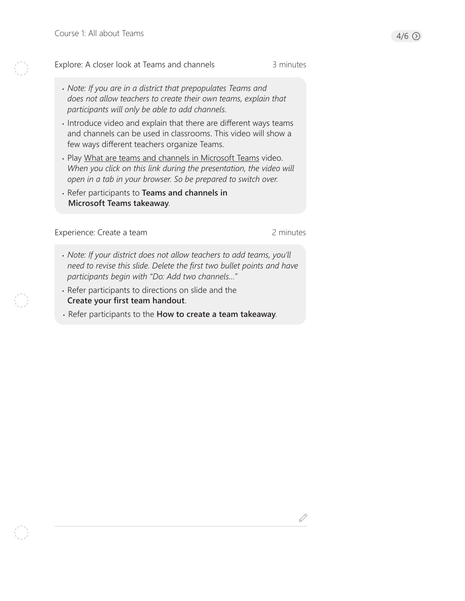#### Explore: A closer look at Teams and channels

D

- Introduce video and explain that there are different ways teams and channels can be used in classrooms. This video will show a few ways different teachers organize Teams.
- Play [What are teams and channels in Microsoft Teams](https://www.microsoft.com/en-us/videoplayer/embed/RE27PN4?pid=ocpVideo7-innerdiv-oneplayer&postJsllMsg=true&maskLevel=20&market=en-us) video. *When you click on this link during the presentation, the video will open in a tab in your browser. So be prepared to switch over.*
- Refer participants to **Teams and channels in Microsoft Teams takeaway**.

Experience: Create a team 2 minutes

3 minutes

- *Note: If your district does not allow teachers to add teams, you'll need to revise this slide. Delete the first two bullet points and have participants begin with "Do: Add two channels…"*
- Refer participants to directions on slide and the **Create your first team handout**.
- Refer participants to the **How to create a team takeaway**.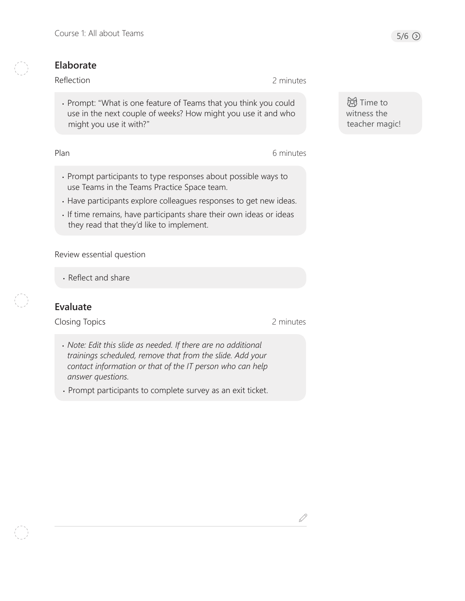### **Elaborate**

#### Reflection

• Prompt: "What is one feature of Teams that you think you could use in the next couple of weeks? How might you use it and who might you use it with?"

Plan

6 minutes

2 minutes

- Prompt participants to type responses about possible ways to use Teams in the Teams Practice Space team.
- Have participants explore colleagues responses to get new ideas.
- If time remains, have participants share their own ideas or ideas they read that they'd like to implement.

Review essential question

• Reflect and share

## **Evaluate**

Closing Topics

2 minutes

- *Note: Edit this slide as needed. If there are no additional trainings scheduled, remove that from the slide. Add your contact information or that of the IT person who can help answer questions.*
- Prompt participants to complete survey as an exit ticket.

**词**Time to witness the teacher magic!

 $\mathcal{S}% _{M_{1},M_{2}}^{\alpha,\beta}(\varepsilon)$